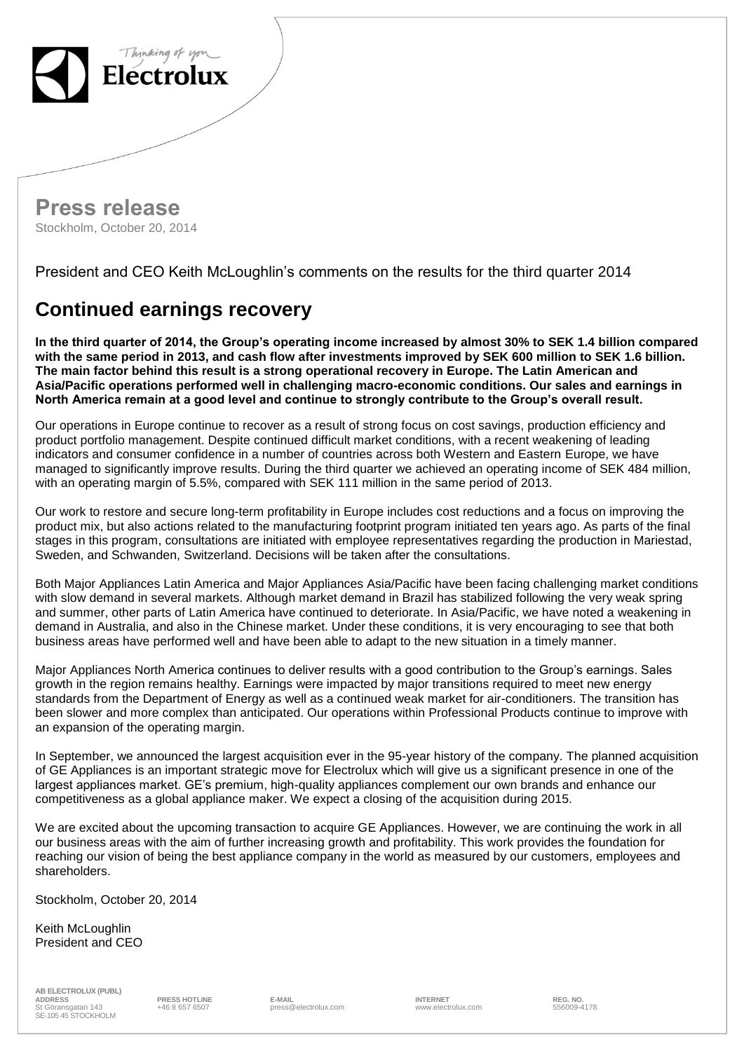

**Press release** Stockholm, October 20, 2014

President and CEO Keith McLoughlin's comments on the results for the third quarter 2014

## **Continued earnings recovery**

**In the third quarter of 2014, the Group's operating income increased by almost 30% to SEK 1.4 billion compared with the same period in 2013, and cash flow after investments improved by SEK 600 million to SEK 1.6 billion. The main factor behind this result is a strong operational recovery in Europe. The Latin American and Asia/Pacific operations performed well in challenging macro-economic conditions. Our sales and earnings in North America remain at a good level and continue to strongly contribute to the Group's overall result.**

Our operations in Europe continue to recover as a result of strong focus on cost savings, production efficiency and product portfolio management. Despite continued difficult market conditions, with a recent weakening of leading indicators and consumer confidence in a number of countries across both Western and Eastern Europe, we have managed to significantly improve results. During the third quarter we achieved an operating income of SEK 484 million, with an operating margin of 5.5%, compared with SEK 111 million in the same period of 2013.

Our work to restore and secure long-term profitability in Europe includes cost reductions and a focus on improving the product mix, but also actions related to the manufacturing footprint program initiated ten years ago. As parts of the final stages in this program, consultations are initiated with employee representatives regarding the production in Mariestad, Sweden, and Schwanden, Switzerland. Decisions will be taken after the consultations.

Both Major Appliances Latin America and Major Appliances Asia/Pacific have been facing challenging market conditions with slow demand in several markets. Although market demand in Brazil has stabilized following the very weak spring and summer, other parts of Latin America have continued to deteriorate. In Asia/Pacific, we have noted a weakening in demand in Australia, and also in the Chinese market. Under these conditions, it is very encouraging to see that both business areas have performed well and have been able to adapt to the new situation in a timely manner.

Major Appliances North America continues to deliver results with a good contribution to the Group's earnings. Sales growth in the region remains healthy. Earnings were impacted by major transitions required to meet new energy standards from the Department of Energy as well as a continued weak market for air-conditioners. The transition has been slower and more complex than anticipated. Our operations within Professional Products continue to improve with an expansion of the operating margin.

In September, we announced the largest acquisition ever in the 95-year history of the company. The planned acquisition of GE Appliances is an important strategic move for Electrolux which will give us a significant presence in one of the largest appliances market. GE's premium, high-quality appliances complement our own brands and enhance our competitiveness as a global appliance maker. We expect a closing of the acquisition during 2015.

We are excited about the upcoming transaction to acquire GE Appliances. However, we are continuing the work in all our business areas with the aim of further increasing growth and profitability. This work provides the foundation for reaching our vision of being the best appliance company in the world as measured by our customers, employees and shareholders.

Stockholm, October 20, 2014

Keith McLoughlin President and CEO

**AB ELECTROLUX (PUBL) ADDRESS PRESS HOTLINE E-MAIL INTERNET REG. NO.** St Göransgatan 143 SE-105 45 STOCKHOLM

erial the Samuel E-Mail entity of the Section of the Section of the Section of the Section of the Section of the Section of the Section of the Section of the Section of the Section of the Section of the Section of the Sect